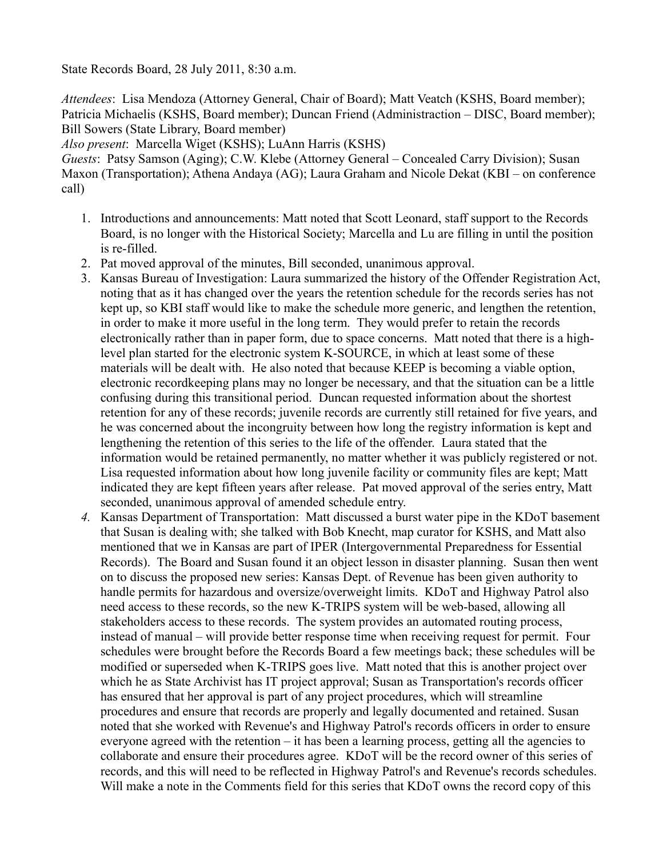State Records Board, 28 July 2011, 8:30 a.m.

*Attendees*: Lisa Mendoza (Attorney General, Chair of Board); Matt Veatch (KSHS, Board member); Patricia Michaelis (KSHS, Board member); Duncan Friend (Administraction – DISC, Board member); Bill Sowers (State Library, Board member)

*Also present*: Marcella Wiget (KSHS); LuAnn Harris (KSHS)

*Guests*: Patsy Samson (Aging); C.W. Klebe (Attorney General – Concealed Carry Division); Susan Maxon (Transportation); Athena Andaya (AG); Laura Graham and Nicole Dekat (KBI – on conference call)

- 1. Introductions and announcements: Matt noted that Scott Leonard, staff support to the Records Board, is no longer with the Historical Society; Marcella and Lu are filling in until the position is re-filled.
- 2. Pat moved approval of the minutes, Bill seconded, unanimous approval.
- 3. Kansas Bureau of Investigation: Laura summarized the history of the Offender Registration Act, noting that as it has changed over the years the retention schedule for the records series has not kept up, so KBI staff would like to make the schedule more generic, and lengthen the retention, in order to make it more useful in the long term. They would prefer to retain the records electronically rather than in paper form, due to space concerns. Matt noted that there is a highlevel plan started for the electronic system K-SOURCE, in which at least some of these materials will be dealt with. He also noted that because KEEP is becoming a viable option, electronic recordkeeping plans may no longer be necessary, and that the situation can be a little confusing during this transitional period. Duncan requested information about the shortest retention for any of these records; juvenile records are currently still retained for five years, and he was concerned about the incongruity between how long the registry information is kept and lengthening the retention of this series to the life of the offender. Laura stated that the information would be retained permanently, no matter whether it was publicly registered or not. Lisa requested information about how long juvenile facility or community files are kept; Matt indicated they are kept fifteen years after release. Pat moved approval of the series entry, Matt seconded, unanimous approval of amended schedule entry.
- *4.* Kansas Department of Transportation: Matt discussed a burst water pipe in the KDoT basement that Susan is dealing with; she talked with Bob Knecht, map curator for KSHS, and Matt also mentioned that we in Kansas are part of IPER (Intergovernmental Preparedness for Essential Records). The Board and Susan found it an object lesson in disaster planning. Susan then went on to discuss the proposed new series: Kansas Dept. of Revenue has been given authority to handle permits for hazardous and oversize/overweight limits. KDoT and Highway Patrol also need access to these records, so the new K-TRIPS system will be web-based, allowing all stakeholders access to these records. The system provides an automated routing process, instead of manual – will provide better response time when receiving request for permit. Four schedules were brought before the Records Board a few meetings back; these schedules will be modified or superseded when K-TRIPS goes live. Matt noted that this is another project over which he as State Archivist has IT project approval; Susan as Transportation's records officer has ensured that her approval is part of any project procedures, which will streamline procedures and ensure that records are properly and legally documented and retained. Susan noted that she worked with Revenue's and Highway Patrol's records officers in order to ensure everyone agreed with the retention – it has been a learning process, getting all the agencies to collaborate and ensure their procedures agree. KDoT will be the record owner of this series of records, and this will need to be reflected in Highway Patrol's and Revenue's records schedules. Will make a note in the Comments field for this series that KDoT owns the record copy of this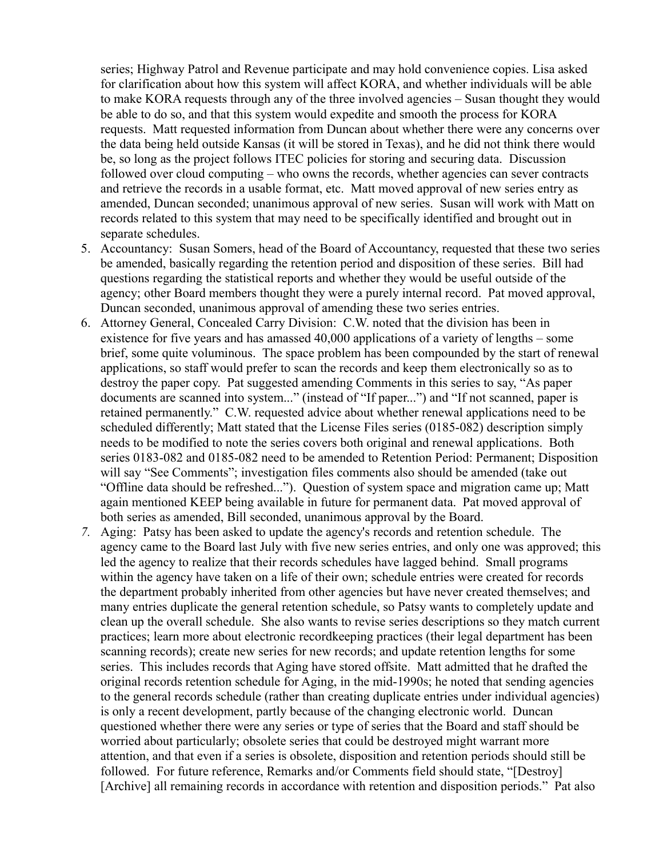series; Highway Patrol and Revenue participate and may hold convenience copies. Lisa asked for clarification about how this system will affect KORA, and whether individuals will be able to make KORA requests through any of the three involved agencies – Susan thought they would be able to do so, and that this system would expedite and smooth the process for KORA requests. Matt requested information from Duncan about whether there were any concerns over the data being held outside Kansas (it will be stored in Texas), and he did not think there would be, so long as the project follows ITEC policies for storing and securing data. Discussion followed over cloud computing – who owns the records, whether agencies can sever contracts and retrieve the records in a usable format, etc. Matt moved approval of new series entry as amended, Duncan seconded; unanimous approval of new series. Susan will work with Matt on records related to this system that may need to be specifically identified and brought out in separate schedules.

- 5. Accountancy: Susan Somers, head of the Board of Accountancy, requested that these two series be amended, basically regarding the retention period and disposition of these series. Bill had questions regarding the statistical reports and whether they would be useful outside of the agency; other Board members thought they were a purely internal record. Pat moved approval, Duncan seconded, unanimous approval of amending these two series entries.
- 6. Attorney General, Concealed Carry Division: C.W. noted that the division has been in existence for five years and has amassed 40,000 applications of a variety of lengths – some brief, some quite voluminous. The space problem has been compounded by the start of renewal applications, so staff would prefer to scan the records and keep them electronically so as to destroy the paper copy. Pat suggested amending Comments in this series to say, "As paper documents are scanned into system..." (instead of "If paper...") and "If not scanned, paper is retained permanently." C.W. requested advice about whether renewal applications need to be scheduled differently; Matt stated that the License Files series (0185-082) description simply needs to be modified to note the series covers both original and renewal applications. Both series 0183-082 and 0185-082 need to be amended to Retention Period: Permanent; Disposition will say "See Comments"; investigation files comments also should be amended (take out "Offline data should be refreshed..."). Question of system space and migration came up; Matt again mentioned KEEP being available in future for permanent data. Pat moved approval of both series as amended, Bill seconded, unanimous approval by the Board.
- *7.* Aging: Patsy has been asked to update the agency's records and retention schedule. The agency came to the Board last July with five new series entries, and only one was approved; this led the agency to realize that their records schedules have lagged behind. Small programs within the agency have taken on a life of their own; schedule entries were created for records the department probably inherited from other agencies but have never created themselves; and many entries duplicate the general retention schedule, so Patsy wants to completely update and clean up the overall schedule. She also wants to revise series descriptions so they match current practices; learn more about electronic recordkeeping practices (their legal department has been scanning records); create new series for new records; and update retention lengths for some series. This includes records that Aging have stored offsite. Matt admitted that he drafted the original records retention schedule for Aging, in the mid-1990s; he noted that sending agencies to the general records schedule (rather than creating duplicate entries under individual agencies) is only a recent development, partly because of the changing electronic world. Duncan questioned whether there were any series or type of series that the Board and staff should be worried about particularly; obsolete series that could be destroyed might warrant more attention, and that even if a series is obsolete, disposition and retention periods should still be followed. For future reference, Remarks and/or Comments field should state, "[Destroy] [Archive] all remaining records in accordance with retention and disposition periods." Pat also